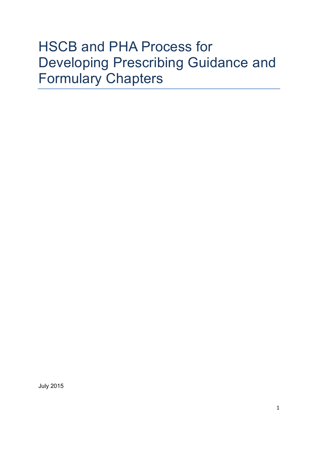# HSCB and PHA Process for Developing Prescribing Guidance and Formulary Chapters

July 2015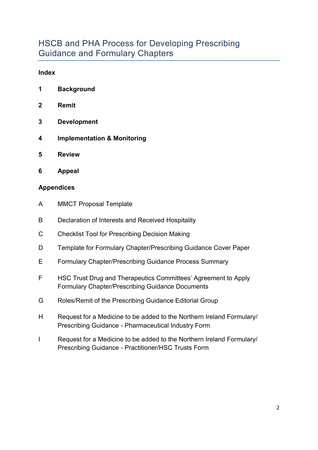# HSCB and PHA Process for Developing Prescribing Guidance and Formulary Chapters

#### **Index**

- **1 Background**
- **2 Remit**
- **3 Development**
- **4 Implementation & Monitoring**
- **5 Review**
- **6 Appeal**

#### **Appendices**

- A MMCT Proposal Template
- B Declaration of Interests and Received Hospitality
- C Checklist Tool for Prescribing Decision Making
- D Template for Formulary Chapter/Prescribing Guidance Cover Paper
- E Formulary Chapter/Prescribing Guidance Process Summary
- F HSC Trust Drug and Therapeutics Committees' Agreement to Apply Formulary Chapter/Prescribing Guidance Documents
- G Roles/Remit of the Prescribing Guidance Editorial Group
- H Request for a Medicine to be added to the Northern Ireland Formulary/ Prescribing Guidance - Pharmaceutical Industry Form
- I Request for a Medicine to be added to the Northern Ireland Formulary/ Prescribing Guidance - Practitioner/HSC Trusts Form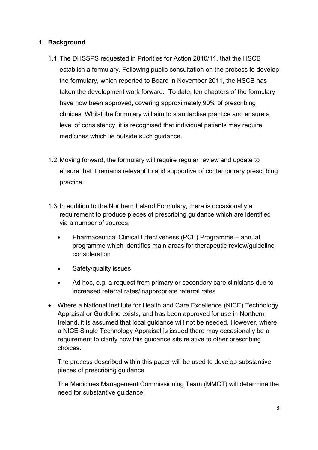#### **1. Background**

- 1.1.The DHSSPS requested in Priorities for Action 2010/11, that the HSCB establish a formulary. Following public consultation on the process to develop the formulary, which reported to Board in November 2011, the HSCB has taken the development work forward. To date, ten chapters of the formulary have now been approved, covering approximately 90% of prescribing choices. Whilst the formulary will aim to standardise practice and ensure a level of consistency, it is recognised that individual patients may require medicines which lie outside such guidance.
- 1.2.Moving forward, the formulary will require regular review and update to ensure that it remains relevant to and supportive of contemporary prescribing practice.
- 1.3.In addition to the Northern Ireland Formulary, there is occasionally a requirement to produce pieces of prescribing guidance which are identified via a number of sources:
	- Pharmaceutical Clinical Effectiveness (PCE) Programme annual programme which identifies main areas for therapeutic review/guideline consideration
	- Safety/quality issues
	- Ad hoc, e.g. a request from primary or secondary care clinicians due to increased referral rates/inappropriate referral rates
- Where a National Institute for Health and Care Excellence (NICE) Technology Appraisal or Guideline exists, and has been approved for use in Northern Ireland, it is assumed that local guidance will not be needed. However, where a NICE Single Technology Appraisal is issued there may occasionally be a requirement to clarify how this guidance sits relative to other prescribing choices.

The process described within this paper will be used to develop substantive pieces of prescribing guidance.

The Medicines Management Commissioning Team (MMCT) will determine the need for substantive guidance.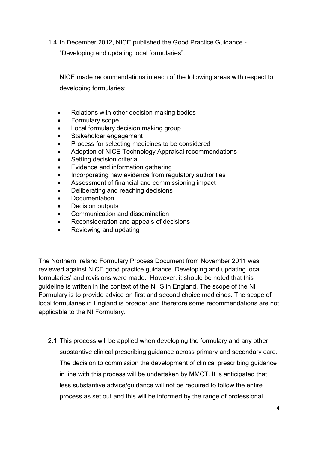1.4.In December 2012, NICE published the Good Practice Guidance -

"Developing and updating local formularies".

NICE made recommendations in each of the following areas with respect to developing formularies:

- Relations with other decision making bodies
- Formulary scope
- Local formulary decision making group
- Stakeholder engagement
- Process for selecting medicines to be considered
- Adoption of NICE Technology Appraisal recommendations
- Setting decision criteria
- Evidence and information gathering
- Incorporating new evidence from regulatory authorities
- Assessment of financial and commissioning impact
- Deliberating and reaching decisions
- Documentation
- Decision outputs
- Communication and dissemination
- Reconsideration and appeals of decisions
- Reviewing and updating

The Northern Ireland Formulary Process Document from November 2011 was reviewed against NICE good practice guidance 'Developing and updating local formularies' and revisions were made. However, it should be noted that this guideline is written in the context of the NHS in England. The scope of the NI Formulary is to provide advice on first and second choice medicines. The scope of local formularies in England is broader and therefore some recommendations are not applicable to the NI Formulary.

2.1.This process will be applied when developing the formulary and any other substantive clinical prescribing guidance across primary and secondary care. The decision to commission the development of clinical prescribing guidance in line with this process will be undertaken by MMCT. It is anticipated that less substantive advice/guidance will not be required to follow the entire process as set out and this will be informed by the range of professional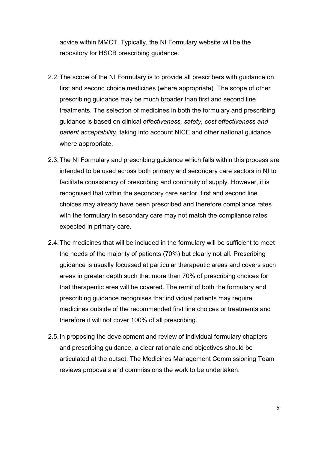advice within MMCT. Typically, the NI Formulary website will be the repository for HSCB prescribing guidance.

- 2.2.The scope of the NI Formulary is to provide all prescribers with guidance on first and second choice medicines (where appropriate). The scope of other prescribing guidance may be much broader than first and second line treatments. The selection of medicines in both the formulary and prescribing guidance is based on clinical *effectiveness, safety, cost effectiveness and patient acceptability*, taking into account NICE and other national guidance where appropriate.
- 2.3.The NI Formulary and prescribing guidance which falls within this process are intended to be used across both primary and secondary care sectors in NI to facilitate consistency of prescribing and continuity of supply. However, it is recognised that within the secondary care sector, first and second line choices may already have been prescribed and therefore compliance rates with the formulary in secondary care may not match the compliance rates expected in primary care.
- 2.4.The medicines that will be included in the formulary will be sufficient to meet the needs of the majority of patients (70%) but clearly not all. Prescribing guidance is usually focussed at particular therapeutic areas and covers such areas in greater depth such that more than 70% of prescribing choices for that therapeutic area will be covered. The remit of both the formulary and prescribing guidance recognises that individual patients may require medicines outside of the recommended first line choices or treatments and therefore it will not cover 100% of all prescribing.
- 2.5.In proposing the development and review of individual formulary chapters and prescribing guidance, a clear rationale and objectives should be articulated at the outset. The Medicines Management Commissioning Team reviews proposals and commissions the work to be undertaken.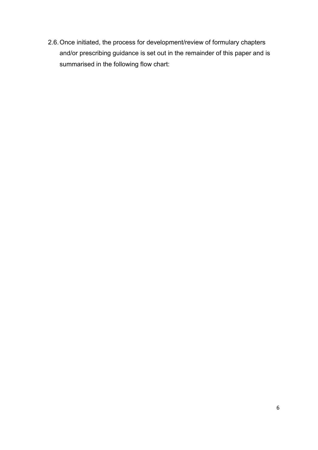2.6.Once initiated, the process for development/review of formulary chapters and/or prescribing guidance is set out in the remainder of this paper and is summarised in the following flow chart: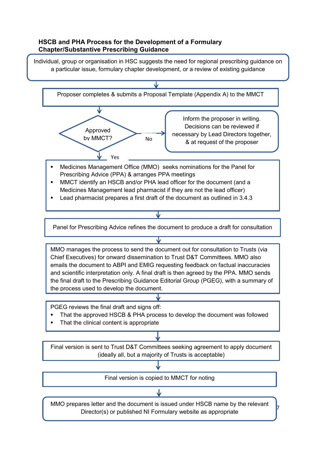#### **HSCB and PHA Process for the Development of a Formulary Chapter/Substantive Prescribing Guidance**

Individual, group or organisation in HSC suggests the need for regional prescribing guidance on a particular issue, formulary chapter development, or a review of existing guidance

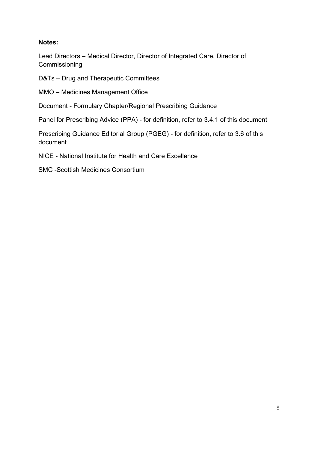#### **Notes:**

Lead Directors – Medical Director, Director of Integrated Care, Director of **Commissioning** 

D&Ts – Drug and Therapeutic Committees

MMO – Medicines Management Office

Document - Formulary Chapter/Regional Prescribing Guidance

Panel for Prescribing Advice (PPA) - for definition, refer to 3.4.1 of this document

Prescribing Guidance Editorial Group (PGEG) - for definition, refer to 3.6 of this document

NICE - National Institute for Health and Care Excellence

SMC -Scottish Medicines Consortium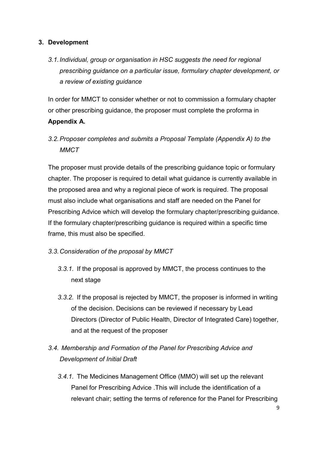#### **3. Development**

*3.1.Individual, group or organisation in HSC suggests the need for regional prescribing guidance on a particular issue, formulary chapter development, or a review of existing guidance*

In order for MMCT to consider whether or not to commission a formulary chapter or other prescribing guidance, the proposer must complete the proforma in **Appendix A.**

*3.2.Proposer completes and submits a Proposal Template (Appendix A) to the MMCT*

The proposer must provide details of the prescribing guidance topic or formulary chapter. The proposer is required to detail what guidance is currently available in the proposed area and why a regional piece of work is required. The proposal must also include what organisations and staff are needed on the Panel for Prescribing Advice which will develop the formulary chapter/prescribing guidance. If the formulary chapter/prescribing guidance is required within a specific time frame, this must also be specified.

- *3.3.Consideration of the proposal by MMCT*
	- *3.3.1.* If the proposal is approved by MMCT, the process continues to the next stage
	- *3.3.2.* If the proposal is rejected by MMCT, the proposer is informed in writing of the decision. Decisions can be reviewed if necessary by Lead Directors (Director of Public Health, Director of Integrated Care) together, and at the request of the proposer
- *3.4. Membership and Formation of the Panel for Prescribing Advice and Development of Initial Draft*
	- *3.4.1.* The Medicines Management Office (MMO) will set up the relevant Panel for Prescribing Advice .This will include the identification of a relevant chair; setting the terms of reference for the Panel for Prescribing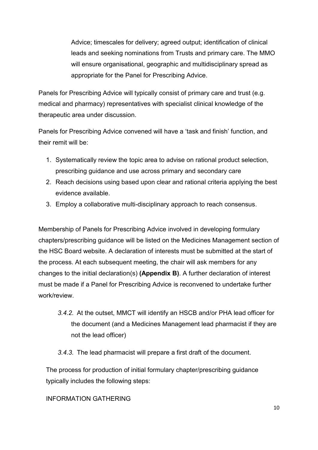Advice; timescales for delivery; agreed output; identification of clinical leads and seeking nominations from Trusts and primary care. The MMO will ensure organisational, geographic and multidisciplinary spread as appropriate for the Panel for Prescribing Advice.

Panels for Prescribing Advice will typically consist of primary care and trust (e.g. medical and pharmacy) representatives with specialist clinical knowledge of the therapeutic area under discussion.

Panels for Prescribing Advice convened will have a 'task and finish' function, and their remit will be:

- 1. Systematically review the topic area to advise on rational product selection, prescribing guidance and use across primary and secondary care
- 2. Reach decisions using based upon clear and rational criteria applying the best evidence available.
- 3. Employ a collaborative multi-disciplinary approach to reach consensus.

Membership of Panels for Prescribing Advice involved in developing formulary chapters/prescribing guidance will be listed on the Medicines Management section of the HSC Board website. A declaration of interests must be submitted at the start of the process. At each subsequent meeting, the chair will ask members for any changes to the initial declaration(s) **(Appendix B)**. A further declaration of interest must be made if a Panel for Prescribing Advice is reconvened to undertake further work/review.

- *3.4.2.* At the outset, MMCT will identify an HSCB and/or PHA lead officer for the document (and a Medicines Management lead pharmacist if they are not the lead officer)
- *3.4.3.* The lead pharmacist will prepare a first draft of the document.

The process for production of initial formulary chapter/prescribing guidance typically includes the following steps:

#### INFORMATION GATHERING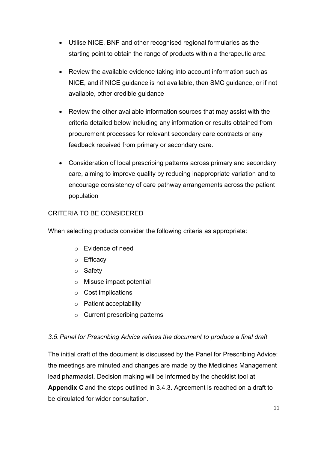- Utilise NICE, BNF and other recognised regional formularies as the starting point to obtain the range of products within a therapeutic area
- Review the available evidence taking into account information such as NICE, and if NICE guidance is not available, then SMC guidance, or if not available, other credible guidance
- Review the other available information sources that may assist with the criteria detailed below including any information or results obtained from procurement processes for relevant secondary care contracts or any feedback received from primary or secondary care.
- Consideration of local prescribing patterns across primary and secondary care, aiming to improve quality by reducing inappropriate variation and to encourage consistency of care pathway arrangements across the patient population

### CRITERIA TO BE CONSIDERED

When selecting products consider the following criteria as appropriate:

- o Evidence of need
- o Efficacy
- o Safety
- o Misuse impact potential
- o Cost implications
- o Patient acceptability
- o Current prescribing patterns

#### *3.5.Panel for Prescribing Advice refines the document to produce a final draft*

The initial draft of the document is discussed by the Panel for Prescribing Advice; the meetings are minuted and changes are made by the Medicines Management lead pharmacist. Decision making will be informed by the checklist tool at **Appendix C** and the steps outlined in 3.4.3**.** Agreement is reached on a draft to be circulated for wider consultation.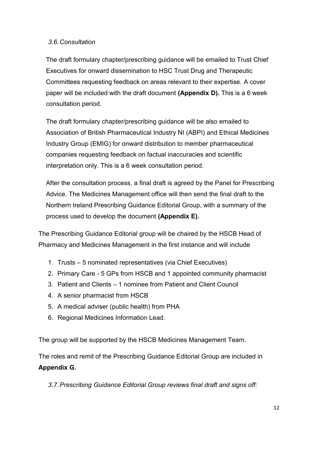#### *3.6.Consultation*

The draft formulary chapter/prescribing guidance will be emailed to Trust Chief Executives for onward dissemination to HSC Trust Drug and Therapeutic Committees requesting feedback on areas relevant to their expertise. A cover paper will be included with the draft document **(Appendix D).** This is a 6 week consultation period.

The draft formulary chapter/prescribing guidance will be also emailed to Association of British Pharmaceutical Industry NI (ABPI) and Ethical Medicines Industry Group (EMIG) for onward distribution to member pharmaceutical companies requesting feedback on factual inaccuracies and scientific interpretation only. This is a 6 week consultation period.

After the consultation process, a final draft is agreed by the Panel for Prescribing Advice. The Medicines Management office will then send the final draft to the Northern Ireland Prescribing Guidance Editorial Group, with a summary of the process used to develop the document **(Appendix E).**

The Prescribing Guidance Editorial group will be chaired by the HSCB Head of Pharmacy and Medicines Management in the first instance and will include

- 1. Trusts 5 nominated representatives (via Chief Executives)
- 2. Primary Care 5 GPs from HSCB and 1 appointed community pharmacist
- 3. Patient and Clients 1 nominee from Patient and Client Council
- 4. A senior pharmacist from HSCB
- 5. A medical adviser (public health) from PHA
- 6. Regional Medicines Information Lead.

The group will be supported by the HSCB Medicines Management Team.

The roles and remit of the Prescribing Guidance Editorial Group are included in **Appendix G.**

*3.7.Prescribing Guidance Editorial Group reviews final draft and signs off:*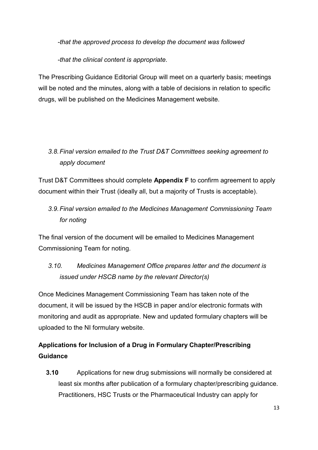*-that the approved process to develop the document was followed*

*-that the clinical content is appropriate.*

The Prescribing Guidance Editorial Group will meet on a quarterly basis; meetings will be noted and the minutes, along with a table of decisions in relation to specific drugs, will be published on the Medicines Management website.

# *3.8.Final version emailed to the Trust D&T Committees seeking agreement to apply document*

Trust D&T Committees should complete **Appendix F** to confirm agreement to apply document within their Trust (ideally all, but a majority of Trusts is acceptable).

*3.9.Final version emailed to the Medicines Management Commissioning Team for noting*

The final version of the document will be emailed to Medicines Management Commissioning Team for noting.

# *3.10. Medicines Management Office prepares letter and the document is issued under HSCB name by the relevant Director(s)*

Once Medicines Management Commissioning Team has taken note of the document, it will be issued by the HSCB in paper and/or electronic formats with monitoring and audit as appropriate. New and updated formulary chapters will be uploaded to the NI formulary website.

# **Applications for Inclusion of a Drug in Formulary Chapter/Prescribing Guidance**

**3.10** Applications for new drug submissions will normally be considered at least six months after publication of a formulary chapter/prescribing guidance. Practitioners, HSC Trusts or the Pharmaceutical Industry can apply for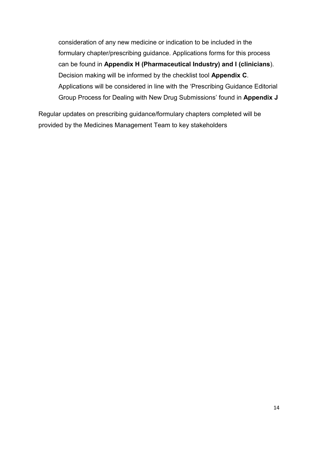consideration of any new medicine or indication to be included in the formulary chapter/prescribing guidance. Applications forms for this process can be found in **Appendix H (Pharmaceutical Industry) and I (clinicians**). Decision making will be informed by the checklist tool **Appendix C**. Applications will be considered in line with the 'Prescribing Guidance Editorial Group Process for Dealing with New Drug Submissions' found in **Appendix J**

Regular updates on prescribing guidance/formulary chapters completed will be provided by the Medicines Management Team to key stakeholders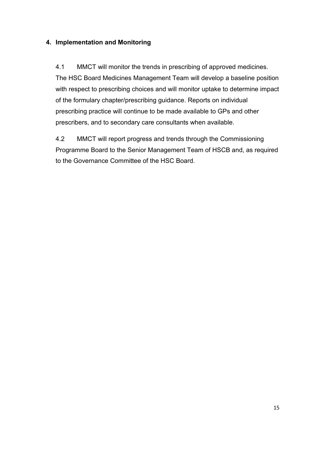#### **4. Implementation and Monitoring**

4.1 MMCT will monitor the trends in prescribing of approved medicines. The HSC Board Medicines Management Team will develop a baseline position with respect to prescribing choices and will monitor uptake to determine impact of the formulary chapter/prescribing guidance. Reports on individual prescribing practice will continue to be made available to GPs and other prescribers, and to secondary care consultants when available.

4.2 MMCT will report progress and trends through the Commissioning Programme Board to the Senior Management Team of HSCB and, as required to the Governance Committee of the HSC Board.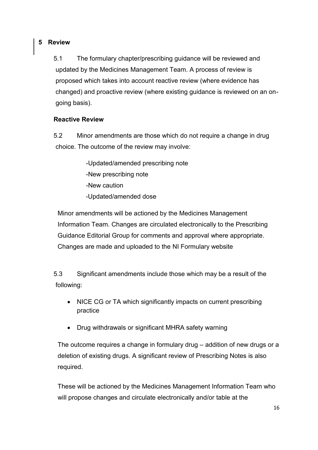#### **5 Review**

5.1 The formulary chapter/prescribing guidance will be reviewed and updated by the Medicines Management Team. A process of review is proposed which takes into account reactive review (where evidence has changed) and proactive review (where existing guidance is reviewed on an ongoing basis).

#### **Reactive Review**

5.2 Minor amendments are those which do not require a change in drug choice. The outcome of the review may involve:

- -Updated/amended prescribing note
- -New prescribing note
- -New caution
- -Updated/amended dose

Minor amendments will be actioned by the Medicines Management Information Team. Changes are circulated electronically to the Prescribing Guidance Editorial Group for comments and approval where appropriate. Changes are made and uploaded to the NI Formulary website

5.3 Significant amendments include those which may be a result of the following:

- NICE CG or TA which significantly impacts on current prescribing practice
- Drug withdrawals or significant MHRA safety warning

The outcome requires a change in formulary drug – addition of new drugs or a deletion of existing drugs. A significant review of Prescribing Notes is also required.

These will be actioned by the Medicines Management Information Team who will propose changes and circulate electronically and/or table at the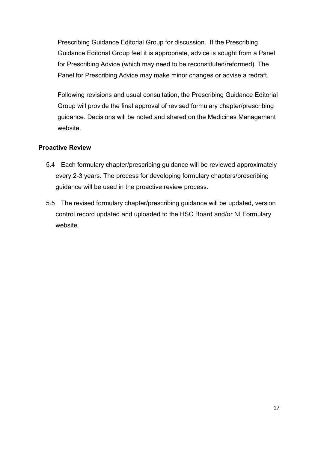Prescribing Guidance Editorial Group for discussion. If the Prescribing Guidance Editorial Group feel it is appropriate, advice is sought from a Panel for Prescribing Advice (which may need to be reconstituted/reformed). The Panel for Prescribing Advice may make minor changes or advise a redraft.

Following revisions and usual consultation, the Prescribing Guidance Editorial Group will provide the final approval of revised formulary chapter/prescribing guidance. Decisions will be noted and shared on the Medicines Management website.

#### **Proactive Review**

- 5.4 Each formulary chapter/prescribing guidance will be reviewed approximately every 2-3 years. The process for developing formulary chapters/prescribing guidance will be used in the proactive review process.
- 5.5 The revised formulary chapter/prescribing guidance will be updated, version control record updated and uploaded to the HSC Board and/or NI Formulary website.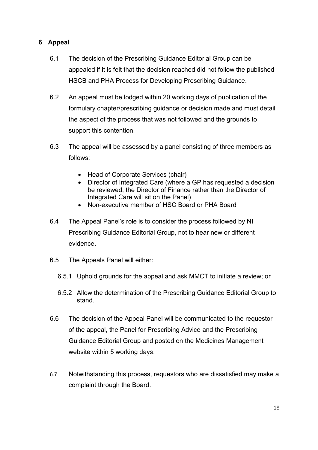#### **6 Appeal**

- 6.1 The decision of the Prescribing Guidance Editorial Group can be appealed if it is felt that the decision reached did not follow the published HSCB and PHA Process for Developing Prescribing Guidance.
- 6.2 An appeal must be lodged within 20 working days of publication of the formulary chapter/prescribing guidance or decision made and must detail the aspect of the process that was not followed and the grounds to support this contention.
- 6.3 The appeal will be assessed by a panel consisting of three members as follows:
	- Head of Corporate Services (chair)
	- Director of Integrated Care (where a GP has requested a decision be reviewed, the Director of Finance rather than the Director of Integrated Care will sit on the Panel)
	- Non-executive member of HSC Board or PHA Board
- 6.4 The Appeal Panel's role is to consider the process followed by NI Prescribing Guidance Editorial Group, not to hear new or different evidence.
- 6.5 The Appeals Panel will either:
	- 6.5.1 Uphold grounds for the appeal and ask MMCT to initiate a review; or
	- 6.5.2 Allow the determination of the Prescribing Guidance Editorial Group to stand.
- 6.6 The decision of the Appeal Panel will be communicated to the requestor of the appeal, the Panel for Prescribing Advice and the Prescribing Guidance Editorial Group and posted on the Medicines Management website within 5 working days.
- 6.7 Notwithstanding this process, requestors who are dissatisfied may make a complaint through the Board.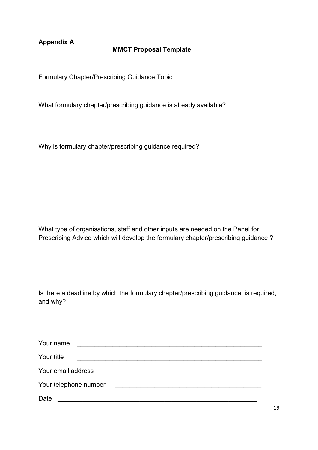#### **Appendix A**

#### **MMCT Proposal Template**

Formulary Chapter/Prescribing Guidance Topic

What formulary chapter/prescribing guidance is already available?

Why is formulary chapter/prescribing guidance required?

What type of organisations, staff and other inputs are needed on the Panel for Prescribing Advice which will develop the formulary chapter/prescribing guidance ?

Is there a deadline by which the formulary chapter/prescribing guidance is required, and why?

| Your name                                                                                                                                   |  |
|---------------------------------------------------------------------------------------------------------------------------------------------|--|
| Your title                                                                                                                                  |  |
| Your email address<br><u> 1980 - Jan Sterling von Berling von Berling von Berling von Berling von Berling von Berling von Berling von B</u> |  |
| Your telephone number                                                                                                                       |  |
| Date                                                                                                                                        |  |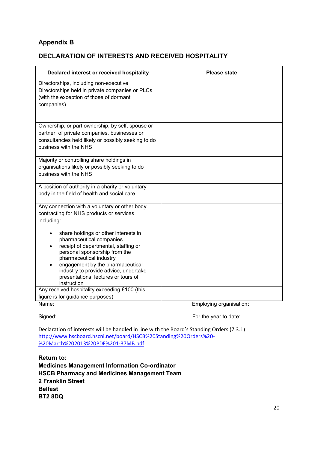#### **Appendix B**

#### **DECLARATION OF INTERESTS AND RECEIVED HOSPITALITY**

| Declared interest or received hospitality                                                                                                                                                                                                                                                                            | <b>Please state</b>     |
|----------------------------------------------------------------------------------------------------------------------------------------------------------------------------------------------------------------------------------------------------------------------------------------------------------------------|-------------------------|
| Directorships, including non-executive<br>Directorships held in private companies or PLCs<br>(with the exception of those of dormant<br>companies)                                                                                                                                                                   |                         |
| Ownership, or part ownership, by self, spouse or<br>partner, of private companies, businesses or<br>consultancies held likely or possibly seeking to do<br>business with the NHS                                                                                                                                     |                         |
| Majority or controlling share holdings in<br>organisations likely or possibly seeking to do<br>business with the NHS                                                                                                                                                                                                 |                         |
| A position of authority in a charity or voluntary<br>body in the field of health and social care                                                                                                                                                                                                                     |                         |
| Any connection with a voluntary or other body<br>contracting for NHS products or services<br>including:                                                                                                                                                                                                              |                         |
| share holdings or other interests in<br>$\bullet$<br>pharmaceutical companies<br>receipt of departmental, staffing or<br>personal sponsorship from the<br>pharmaceutical industry<br>engagement by the pharmaceutical<br>industry to provide advice, undertake<br>presentations, lectures or tours of<br>instruction |                         |
| Any received hospitality exceeding £100 (this<br>figure is for guidance purposes)                                                                                                                                                                                                                                    |                         |
| Name:                                                                                                                                                                                                                                                                                                                | Emploving organisation: |

Signed: Signed: Signed: Signed: For the year to date:

ploying org،

Declaration of interests will be handled in line with the Board's Standing Orders (7.3.1) [http://www.hscboard.hscni.net/board/HSCB%20Standing%20Orders%20-](http://www.hscboard.hscni.net/board/HSCB%20Standing%20Orders%20-%20March%202013%20PDF%201-37MB.pdf) [%20March%202013%20PDF%201-37MB.pdf](http://www.hscboard.hscni.net/board/HSCB%20Standing%20Orders%20-%20March%202013%20PDF%201-37MB.pdf)

**Return to: Medicines Management Information Co-ordinator HSCB Pharmacy and Medicines Management Team 2 Franklin Street Belfast BT2 8DQ**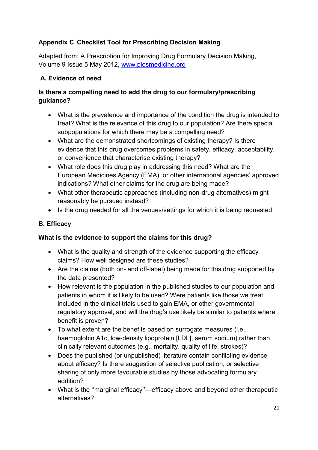## **Appendix C Checklist Tool for Prescribing Decision Making**

Adapted from: A Prescription for Improving Drug Formulary Decision Making, Volume 9 Issue 5 May 2012, [www.plosmedicine.org](http://www.plosmedicine.org/)

### **A. Evidence of need**

### **Is there a compelling need to add the drug to our formulary/prescribing guidance?**

- What is the prevalence and importance of the condition the drug is intended to treat? What is the relevance of this drug to our population? Are there special subpopulations for which there may be a compelling need?
- What are the demonstrated shortcomings of existing therapy? Is there evidence that this drug overcomes problems in safety, efficacy, acceptability, or convenience that characterise existing therapy?
- What role does this drug play in addressing this need? What are the European Medicines Agency (EMA), or other international agencies' approved indications? What other claims for the drug are being made?
- What other therapeutic approaches (including non-drug alternatives) might reasonably be pursued instead?
- Is the drug needed for all the venues/settings for which it is being requested

## **B. Efficacy**

#### **What is the evidence to support the claims for this drug?**

- What is the quality and strength of the evidence supporting the efficacy claims? How well designed are these studies?
- Are the claims (both on- and off-label) being made for this drug supported by the data presented?
- How relevant is the population in the published studies to our population and patients in whom it is likely to be used? Were patients like those we treat included in the clinical trials used to gain EMA, or other governmental regulatory approval, and will the drug's use likely be similar to patients where benefit is proven?
- To what extent are the benefits based on surrogate measures (i.e., haemoglobin A1c, low-density lipoprotein [LDL], serum sodium) rather than clinically relevant outcomes (e.g., mortality, quality of life, strokes)?
- Does the published (or unpublished) literature contain conflicting evidence about efficacy? Is there suggestion of selective publication, or selective sharing of only more favourable studies by those advocating formulary addition?
- What is the ''marginal efficacy''—efficacy above and beyond other therapeutic alternatives?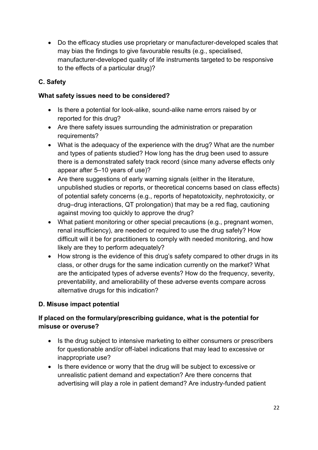Do the efficacy studies use proprietary or manufacturer-developed scales that may bias the findings to give favourable results (e.g., specialised, manufacturer-developed quality of life instruments targeted to be responsive to the effects of a particular drug)?

## **C. Safety**

#### **What safety issues need to be considered?**

- Is there a potential for look-alike, sound-alike name errors raised by or reported for this drug?
- Are there safety issues surrounding the administration or preparation requirements?
- What is the adequacy of the experience with the drug? What are the number and types of patients studied? How long has the drug been used to assure there is a demonstrated safety track record (since many adverse effects only appear after 5–10 years of use)?
- Are there suggestions of early warning signals (either in the literature, unpublished studies or reports, or theoretical concerns based on class effects) of potential safety concerns (e.g., reports of hepatotoxicity, nephrotoxicity, or drug–drug interactions, QT prolongation) that may be a red flag, cautioning against moving too quickly to approve the drug?
- What patient monitoring or other special precautions (e.g., pregnant women, renal insufficiency), are needed or required to use the drug safely? How difficult will it be for practitioners to comply with needed monitoring, and how likely are they to perform adequately?
- How strong is the evidence of this drug's safety compared to other drugs in its class, or other drugs for the same indication currently on the market? What are the anticipated types of adverse events? How do the frequency, severity, preventability, and ameliorability of these adverse events compare across alternative drugs for this indication?

#### **D. Misuse impact potential**

#### **If placed on the formulary/prescribing guidance, what is the potential for misuse or overuse?**

- Is the drug subject to intensive marketing to either consumers or prescribers for questionable and/or off-label indications that may lead to excessive or inappropriate use?
- Is there evidence or worry that the drug will be subject to excessive or unrealistic patient demand and expectation? Are there concerns that advertising will play a role in patient demand? Are industry-funded patient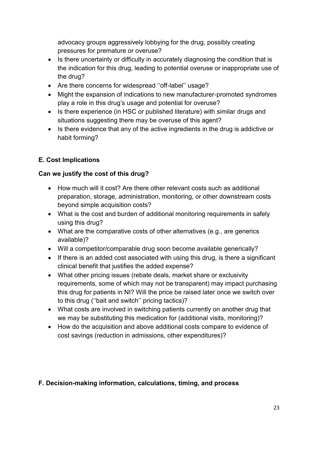advocacy groups aggressively lobbying for the drug, possibly creating pressures for premature or overuse?

- Is there uncertainty or difficulty in accurately diagnosing the condition that is the indication for this drug, leading to potential overuse or inappropriate use of the drug?
- Are there concerns for widespread "off-label" usage?
- Might the expansion of indications to new manufacturer-promoted syndromes play a role in this drug's usage and potential for overuse?
- Is there experience (in HSC or published literature) with similar drugs and situations suggesting there may be overuse of this agent?
- Is there evidence that any of the active ingredients in the drug is addictive or habit forming?

## **E. Cost Implications**

#### **Can we justify the cost of this drug?**

- How much will it cost? Are there other relevant costs such as additional preparation, storage, administration, monitoring, or other downstream costs beyond simple acquisition costs?
- What is the cost and burden of additional monitoring requirements in safely using this drug?
- What are the comparative costs of other alternatives (e.g., are generics available)?
- Will a competitor/comparable drug soon become available generically?
- If there is an added cost associated with using this drug, is there a significant clinical benefit that justifies the added expense?
- What other pricing issues (rebate deals, market share or exclusivity requirements, some of which may not be transparent) may impact purchasing this drug for patients in NI? Will the price be raised later once we switch over to this drug (''bait and switch'' pricing tactics)?
- What costs are involved in switching patients currently on another drug that we may be substituting this medication for (additional visits, monitoring)?
- How do the acquisition and above additional costs compare to evidence of cost savings (reduction in admissions, other expenditures)?

#### **F. Decision-making information, calculations, timing, and process**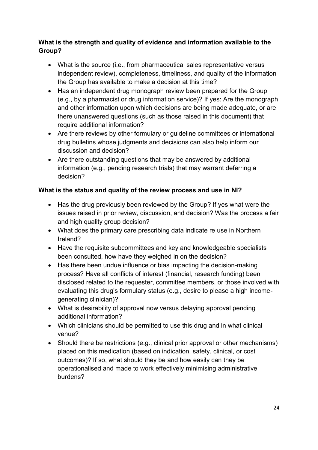#### **What is the strength and quality of evidence and information available to the Group?**

- What is the source (i.e., from pharmaceutical sales representative versus independent review), completeness, timeliness, and quality of the information the Group has available to make a decision at this time?
- Has an independent drug monograph review been prepared for the Group (e.g., by a pharmacist or drug information service)? If yes: Are the monograph and other information upon which decisions are being made adequate, or are there unanswered questions (such as those raised in this document) that require additional information?
- Are there reviews by other formulary or guideline committees or international drug bulletins whose judgments and decisions can also help inform our discussion and decision?
- Are there outstanding questions that may be answered by additional information (e.g., pending research trials) that may warrant deferring a decision?

#### **What is the status and quality of the review process and use in NI?**

- Has the drug previously been reviewed by the Group? If yes what were the issues raised in prior review, discussion, and decision? Was the process a fair and high quality group decision?
- What does the primary care prescribing data indicate re use in Northern Ireland?
- Have the requisite subcommittees and key and knowledgeable specialists been consulted, how have they weighed in on the decision?
- Has there been undue influence or bias impacting the decision-making process? Have all conflicts of interest (financial, research funding) been disclosed related to the requester, committee members, or those involved with evaluating this drug's formulary status (e.g., desire to please a high incomegenerating clinician)?
- What is desirability of approval now versus delaying approval pending additional information?
- Which clinicians should be permitted to use this drug and in what clinical venue?
- Should there be restrictions (e.g., clinical prior approval or other mechanisms) placed on this medication (based on indication, safety, clinical, or cost outcomes)? If so, what should they be and how easily can they be operationalised and made to work effectively minimising administrative burdens?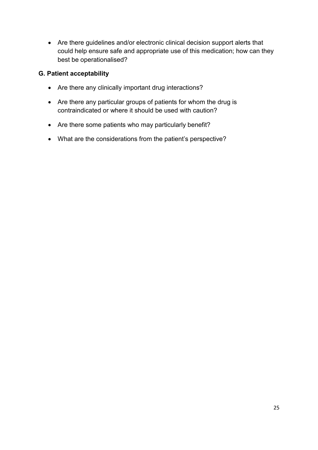Are there guidelines and/or electronic clinical decision support alerts that could help ensure safe and appropriate use of this medication; how can they best be operationalised?

#### **G. Patient acceptability**

- Are there any clinically important drug interactions?
- Are there any particular groups of patients for whom the drug is contraindicated or where it should be used with caution?
- Are there some patients who may particularly benefit?
- What are the considerations from the patient's perspective?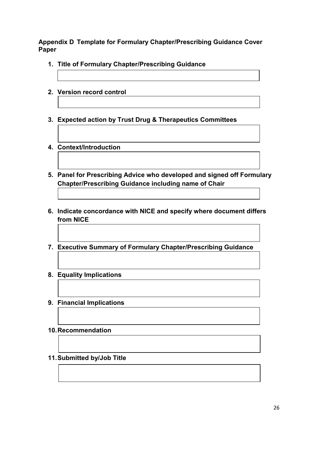**Appendix D Template for Formulary Chapter/Prescribing Guidance Cover Paper**

- **1. Title of Formulary Chapter/Prescribing Guidance**
- **2. Version record control**
- **3. Expected action by Trust Drug & Therapeutics Committees**
- **4. Context/Introduction**
- **5. Panel for Prescribing Advice who developed and signed off Formulary Chapter/Prescribing Guidance including name of Chair**
- **6. Indicate concordance with NICE and specify where document differs from NICE**
- **7. Executive Summary of Formulary Chapter/Prescribing Guidance**
- **8. Equality Implications**
- **9. Financial Implications**
- **10.Recommendation**
- **11.Submitted by/Job Title**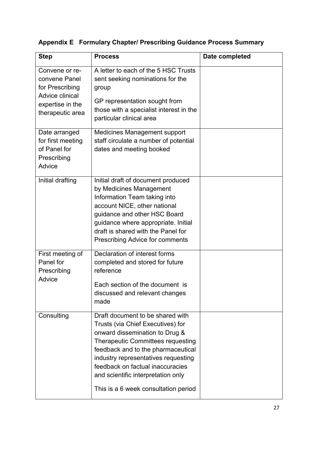# **Appendix E Formulary Chapter/ Prescribing Guidance Process Summary**

| <b>Step</b>                                                                                                   | <b>Process</b>                                                                                                                                                                                                                                                                                                                                     | Date completed |
|---------------------------------------------------------------------------------------------------------------|----------------------------------------------------------------------------------------------------------------------------------------------------------------------------------------------------------------------------------------------------------------------------------------------------------------------------------------------------|----------------|
| Convene or re-<br>convene Panel<br>for Prescribing<br>Advice clinical<br>expertise in the<br>therapeutic area | A letter to each of the 5 HSC Trusts<br>sent seeking nominations for the<br>group<br>GP representation sought from<br>those with a specialist interest in the<br>particular clinical area                                                                                                                                                          |                |
| Date arranged<br>for first meeting<br>of Panel for<br>Prescribing<br>Advice                                   | <b>Medicines Management support</b><br>staff circulate a number of potential<br>dates and meeting booked                                                                                                                                                                                                                                           |                |
| Initial drafting                                                                                              | Initial draft of document produced<br>by Medicines Management<br>Information Team taking into<br>account NICE, other national<br>guidance and other HSC Board<br>quidance where appropriate. Initial<br>draft is shared with the Panel for<br><b>Prescribing Advice for comments</b>                                                               |                |
| First meeting of<br>Panel for<br>Prescribing<br>Advice                                                        | Declaration of interest forms<br>completed and stored for future<br>reference<br>Each section of the document is<br>discussed and relevant changes<br>made                                                                                                                                                                                         |                |
| Consulting                                                                                                    | Draft document to be shared with<br>Trusts (via Chief Executives) for<br>onward dissemination to Drug &<br><b>Therapeutic Committees requesting</b><br>feedback and to the pharmaceutical<br>industry representatives requesting<br>feedback on factual inaccuracies<br>and scientific interpretation only<br>This is a 6 week consultation period |                |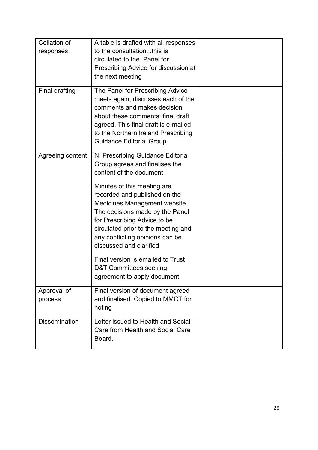| Collation of         | A table is drafted with all responses |  |
|----------------------|---------------------------------------|--|
| responses            | to the consultationthis is            |  |
|                      | circulated to the Panel for           |  |
|                      | Prescribing Advice for discussion at  |  |
|                      | the next meeting                      |  |
| Final drafting       | The Panel for Prescribing Advice      |  |
|                      | meets again, discusses each of the    |  |
|                      | comments and makes decision           |  |
|                      | about these comments; final draft     |  |
|                      | agreed. This final draft is e-mailed  |  |
|                      | to the Northern Ireland Prescribing   |  |
|                      | <b>Guidance Editorial Group</b>       |  |
|                      |                                       |  |
| Agreeing content     | NI Prescribing Guidance Editorial     |  |
|                      | Group agrees and finalises the        |  |
|                      | content of the document               |  |
|                      | Minutes of this meeting are.          |  |
|                      | recorded and published on the         |  |
|                      | Medicines Management website.         |  |
|                      | The decisions made by the Panel       |  |
|                      | for Prescribing Advice to be          |  |
|                      | circulated prior to the meeting and   |  |
|                      | any conflicting opinions can be       |  |
|                      | discussed and clarified               |  |
|                      | Final version is emailed to Trust     |  |
|                      | <b>D&amp;T Committees seeking</b>     |  |
|                      | agreement to apply document           |  |
|                      |                                       |  |
| Approval of          | Final version of document agreed      |  |
| process              | and finalised. Copied to MMCT for     |  |
|                      | noting                                |  |
| <b>Dissemination</b> | Letter issued to Health and Social    |  |
|                      | Care from Health and Social Care      |  |
|                      | Board.                                |  |
|                      |                                       |  |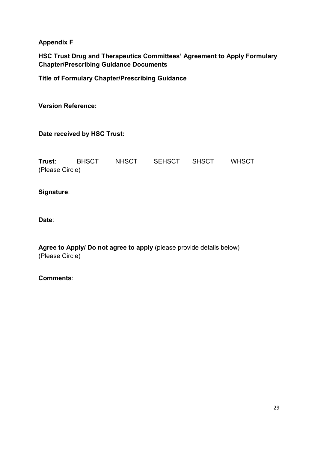#### **Appendix F**

**HSC Trust Drug and Therapeutics Committees' Agreement to Apply Formulary Chapter/Prescribing Guidance Documents** 

**Title of Formulary Chapter/Prescribing Guidance**

**Version Reference:**

**Date received by HSC Trust:**

**Trust**: BHSCT NHSCT SEHSCT SHSCT WHSCT (Please Circle)

**Signature**:

**Date**:

**Agree to Apply/ Do not agree to apply** (please provide details below) (Please Circle)

**Comments**: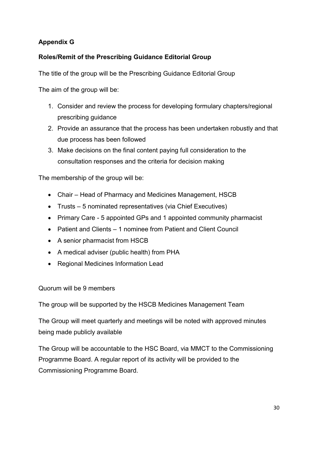### **Appendix G**

#### **Roles/Remit of the Prescribing Guidance Editorial Group**

The title of the group will be the Prescribing Guidance Editorial Group

The aim of the group will be:

- 1. Consider and review the process for developing formulary chapters/regional prescribing guidance
- 2. Provide an assurance that the process has been undertaken robustly and that due process has been followed
- 3. Make decisions on the final content paying full consideration to the consultation responses and the criteria for decision making

The membership of the group will be:

- Chair Head of Pharmacy and Medicines Management, HSCB
- Trusts 5 nominated representatives (via Chief Executives)
- Primary Care 5 appointed GPs and 1 appointed community pharmacist
- Patient and Clients 1 nominee from Patient and Client Council
- A senior pharmacist from HSCB
- A medical adviser (public health) from PHA
- Regional Medicines Information Lead

Quorum will be 9 members

The group will be supported by the HSCB Medicines Management Team

The Group will meet quarterly and meetings will be noted with approved minutes being made publicly available

The Group will be accountable to the HSC Board, via MMCT to the Commissioning Programme Board. A regular report of its activity will be provided to the Commissioning Programme Board.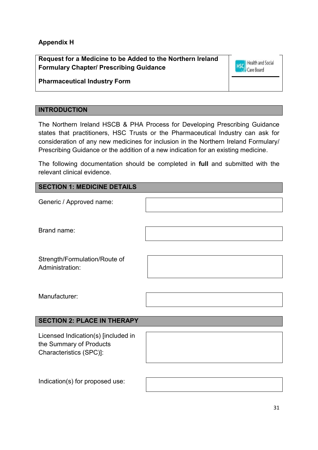#### **Appendix H**

**Request for a Medicine to be Added to the Northern Ireland Formulary Chapter/ Prescribing Guidance**

**Health and Social HSC** Care Board

**Pharmaceutical Industry Form**

#### **INTRODUCTION**

The Northern Ireland HSCB & PHA Process for Developing Prescribing Guidance states that practitioners, HSC Trusts or the Pharmaceutical Industry can ask for consideration of any new medicines for inclusion in the Northern Ireland Formulary/ Prescribing Guidance or the addition of a new indication for an existing medicine.

The following documentation should be completed in **full** and submitted with the relevant clinical evidence.

#### **SECTION 1: MEDICINE DETAILS**

Generic / Approved name:

Brand name:

Strength/Formulation/Route of Administration:

Manufacturer:

#### **SECTION 2: PLACE IN THERAPY**

Licensed Indication(s) [included in the Summary of Products Characteristics (SPC)]:

Indication(s) for proposed use: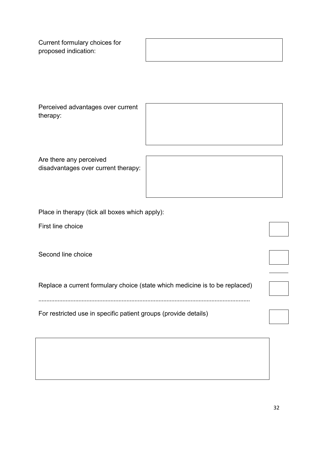Current formulary choices for proposed indication:

Perceived advantages over current therapy:



Are there any perceived disadvantages over current therapy:

Place in therapy (tick all boxes which apply):

First line choice

Second line choice

Replace a current formulary choice (state which medicine is to be replaced)

....................................................................................................................................

For restricted use in specific patient groups (provide details)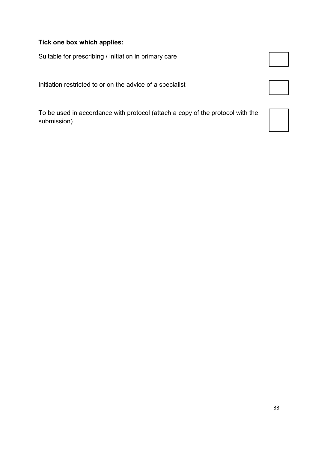## **Tick one box which applies:**

Suitable for prescribing / initiation in primary care

Initiation restricted to or on the advice of a specialist

To be used in accordance with protocol (attach a copy of the protocol with the submission)

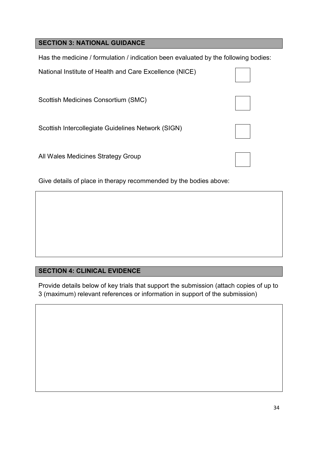## **SECTION 3: NATIONAL GUIDANCE**

Has the medicine / formulation / indication been evaluated by the following bodies:

| National Institute of Health and Care Excellence (NICE) |  |
|---------------------------------------------------------|--|
| Scottish Medicines Consortium (SMC)                     |  |
| Scottish Intercollegiate Guidelines Network (SIGN)      |  |
| All Wales Medicines Strategy Group                      |  |

Give details of place in therapy recommended by the bodies above:

#### **SECTION 4: CLINICAL EVIDENCE**

Provide details below of key trials that support the submission (attach copies of up to 3 (maximum) relevant references or information in support of the submission)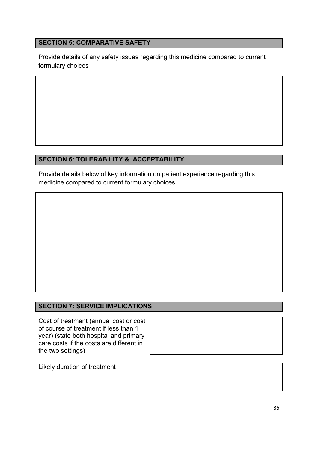#### **SECTION 5: COMPARATIVE SAFETY**

Provide details of any safety issues regarding this medicine compared to current formulary choices

#### **SECTION 6: TOLERABILITY & ACCEPTABILITY**

Provide details below of key information on patient experience regarding this medicine compared to current formulary choices

#### **SECTION 7: SERVICE IMPLICATIONS**

Cost of treatment (annual cost or cost of course of treatment if less than 1 year) (state both hospital and primary care costs if the costs are different in the two settings)

Likely duration of treatment

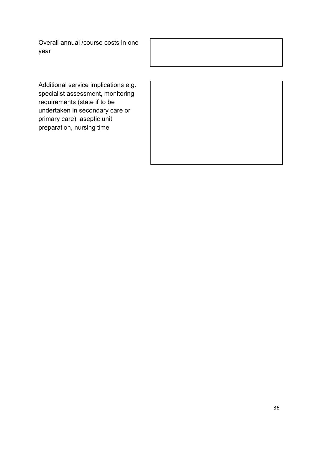Overall annual /course costs in one year



Additional service implications e.g. specialist assessment, monitoring requirements (state if to be undertaken in secondary care or primary care), aseptic unit preparation, nursing time

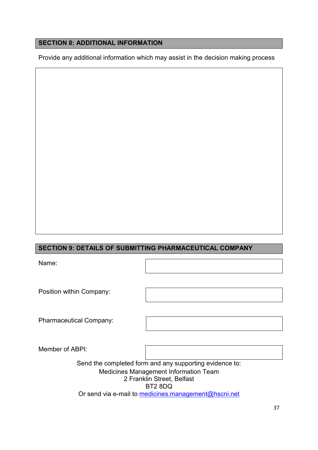# **SECTION 8: ADDITIONAL INFORMATION**

Provide any additional information which may assist in the decision making process

#### **SECTION 9: DETAILS OF SUBMITTING PHARMACEUTICAL COMPANY**

| Name:                                                                                                                                                                                             |  |
|---------------------------------------------------------------------------------------------------------------------------------------------------------------------------------------------------|--|
| Position within Company:                                                                                                                                                                          |  |
| <b>Pharmaceutical Company:</b>                                                                                                                                                                    |  |
|                                                                                                                                                                                                   |  |
| Member of ABPI:                                                                                                                                                                                   |  |
| Send the completed form and any supporting evidence to:<br>Medicines Management Information Team<br>2 Franklin Street, Belfast<br>BT2 8DQ<br>Or send via e-mail to medicines.management@hscni.net |  |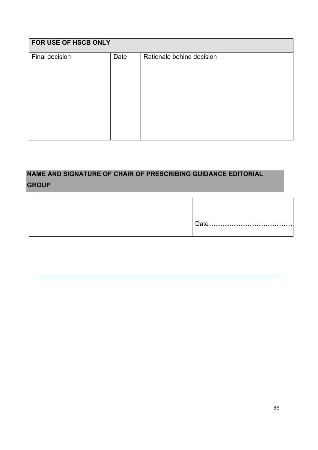| <b>FOR USE OF HSCB ONLY</b> |      |                           |
|-----------------------------|------|---------------------------|
| Final decision              | Date | Rationale behind decision |
|                             |      |                           |

## **NAME AND SIGNATURE OF CHAIR OF PRESCRIBING GUIDANCE EDITORIAL GROUP**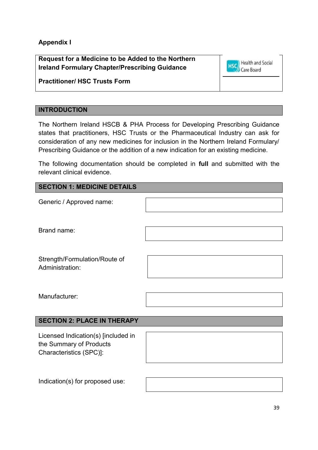#### **Appendix I**

**Request for a Medicine to be Added to the Northern Ireland Formulary Chapter/Prescribing Guidance**

**Health and Social HSC** Care Board

**Practitioner/ HSC Trusts Form** 

#### **INTRODUCTION**

The Northern Ireland HSCB & PHA Process for Developing Prescribing Guidance states that practitioners, HSC Trusts or the Pharmaceutical Industry can ask for consideration of any new medicines for inclusion in the Northern Ireland Formulary/ Prescribing Guidance or the addition of a new indication for an existing medicine.

The following documentation should be completed in **full** and submitted with the relevant clinical evidence.

#### **SECTION 1: MEDICINE DETAILS**

Generic / Approved name:

Brand name:

Strength/Formulation/Route of Administration:

Manufacturer:

#### **SECTION 2: PLACE IN THERAPY**

Licensed Indication(s) [included in the Summary of Products Characteristics (SPC)]:

Indication(s) for proposed use: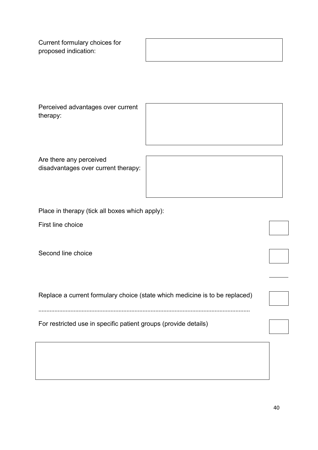Current formulary choices for proposed indication:

Perceived advantages over current therapy:



Are there any perceived disadvantages over current therapy:

Place in therapy (tick all boxes which apply):

First line choice

Second line choice

Replace a current formulary choice (state which medicine is to be replaced)

....................................................................................................................................

For restricted use in specific patient groups (provide details)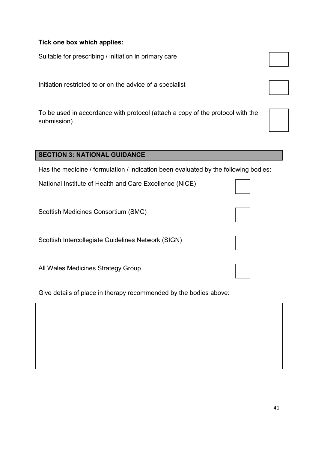#### **Tick one box which applies:**

Suitable for prescribing / initiation in primary care

Initiation restricted to or on the advice of a specialist

To be used in accordance with protocol (attach a copy of the protocol with the submission)

#### **SECTION 3: NATIONAL GUIDANCE**

Has the medicine / formulation / indication been evaluated by the following bodies:

| National Institute of Health and Care Excellence (NICE)           |  |
|-------------------------------------------------------------------|--|
| <b>Scottish Medicines Consortium (SMC)</b>                        |  |
| Scottish Intercollegiate Guidelines Network (SIGN)                |  |
| All Wales Medicines Strategy Group                                |  |
| Give details of place in therapy recommended by the bodies above: |  |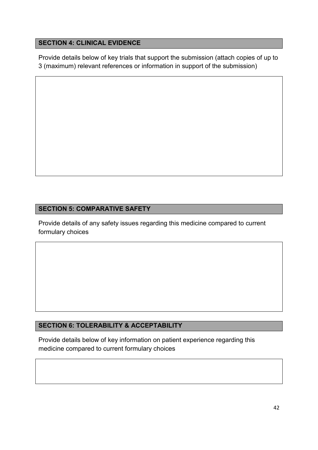#### **SECTION 4: CLINICAL EVIDENCE**

Provide details below of key trials that support the submission (attach copies of up to 3 (maximum) relevant references or information in support of the submission)

#### **SECTION 5: COMPARATIVE SAFETY**

Provide details of any safety issues regarding this medicine compared to current formulary choices

#### **SECTION 6: TOLERABILITY & ACCEPTABILITY**

Provide details below of key information on patient experience regarding this medicine compared to current formulary choices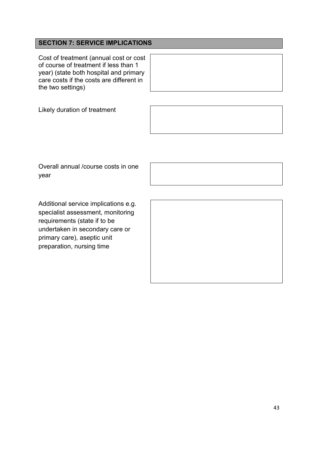#### **SECTION 7: SERVICE IMPLICATIONS**

Cost of treatment (annual cost or cost of course of treatment if less than 1 year) (state both hospital and primary care costs if the costs are different in the two settings)

Likely duration of treatment

Overall annual /course costs in one year

Additional service implications e.g. specialist assessment, monitoring requirements (state if to be undertaken in secondary care or primary care), aseptic unit preparation, nursing time

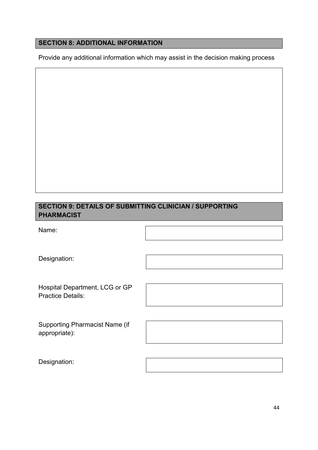## **SECTION 8: ADDITIONAL INFORMATION**

Provide any additional information which may assist in the decision making process

#### **SECTION 9: DETAILS OF SUBMITTING CLINICIAN / SUPPORTING PHARMACIST**

Name:

Designation:

Hospital Department, LCG or GP Practice Details:

Supporting Pharmacist Name (if appropriate):

Designation:

44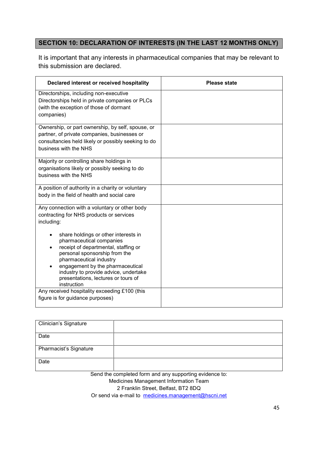#### **SECTION 10: DECLARATION OF INTERESTS (IN THE LAST 12 MONTHS ONLY)**

It is important that any interests in pharmaceutical companies that may be relevant to this submission are declared.

| Declared interest or received hospitality                                                                                                                                                                                                                                                               | <b>Please state</b> |
|---------------------------------------------------------------------------------------------------------------------------------------------------------------------------------------------------------------------------------------------------------------------------------------------------------|---------------------|
| Directorships, including non-executive<br>Directorships held in private companies or PLCs<br>(with the exception of those of dormant<br>companies)                                                                                                                                                      |                     |
| Ownership, or part ownership, by self, spouse, or<br>partner, of private companies, businesses or<br>consultancies held likely or possibly seeking to do<br>business with the NHS                                                                                                                       |                     |
| Majority or controlling share holdings in<br>organisations likely or possibly seeking to do<br>business with the NHS                                                                                                                                                                                    |                     |
| A position of authority in a charity or voluntary<br>body in the field of health and social care                                                                                                                                                                                                        |                     |
| Any connection with a voluntary or other body<br>contracting for NHS products or services<br>including:                                                                                                                                                                                                 |                     |
| share holdings or other interests in<br>pharmaceutical companies<br>receipt of departmental, staffing or<br>personal sponsorship from the<br>pharmaceutical industry<br>engagement by the pharmaceutical<br>industry to provide advice, undertake<br>presentations, lectures or tours of<br>instruction |                     |
| Any received hospitality exceeding £100 (this<br>figure is for guidance purposes)                                                                                                                                                                                                                       |                     |

| Clinician's Signature  |  |
|------------------------|--|
| Date                   |  |
| Pharmacist's Signature |  |
| Date                   |  |

Send the completed form and any supporting evidence to: Medicines Management Information Team

# 2 Franklin Street, Belfast, BT2 8DQ

Or send via e-mail to [medicines.management@hscni.net](mailto:medicines.management@hscni.net)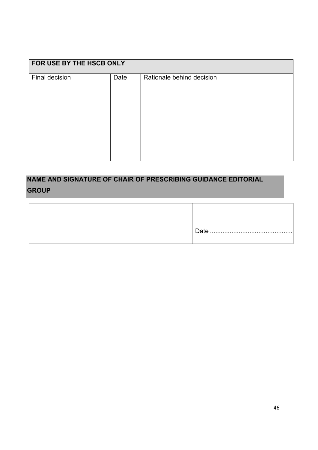| FOR USE BY THE HSCB ONLY |      |                           |
|--------------------------|------|---------------------------|
| Final decision           | Date | Rationale behind decision |
|                          |      |                           |
|                          |      |                           |

# **NAME AND SIGNATURE OF CHAIR OF PRESCRIBING GUIDANCE EDITORIAL GROUP**

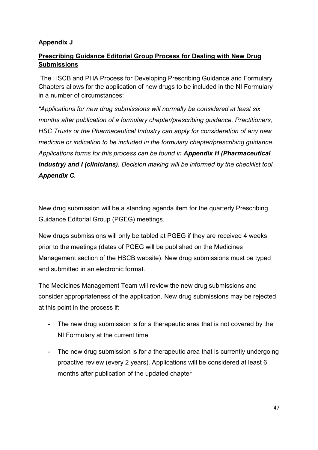#### **Appendix J**

#### **Prescribing Guidance Editorial Group Process for Dealing with New Drug Submissions**

The HSCB and PHA Process for Developing Prescribing Guidance and Formulary Chapters allows for the application of new drugs to be included in the NI Formulary in a number of circumstances:

*"Applications for new drug submissions will normally be considered at least six months after publication of a formulary chapter/prescribing guidance. Practitioners, HSC Trusts or the Pharmaceutical Industry can apply for consideration of any new medicine or indication to be included in the formulary chapter/prescribing guidance. Applications forms for this process can be found in Appendix H (Pharmaceutical Industry) and I (clinicians). Decision making will be informed by the checklist tool Appendix C.*

New drug submission will be a standing agenda item for the quarterly Prescribing Guidance Editorial Group (PGEG) meetings.

New drugs submissions will only be tabled at PGEG if they are received 4 weeks prior to the meetings (dates of PGEG will be published on the Medicines Management section of the HSCB website). New drug submissions must be typed and submitted in an electronic format.

The Medicines Management Team will review the new drug submissions and consider appropriateness of the application. New drug submissions may be rejected at this point in the process if:

- The new drug submission is for a therapeutic area that is not covered by the NI Formulary at the current time
- The new drug submission is for a therapeutic area that is currently undergoing proactive review (every 2 years). Applications will be considered at least 6 months after publication of the updated chapter